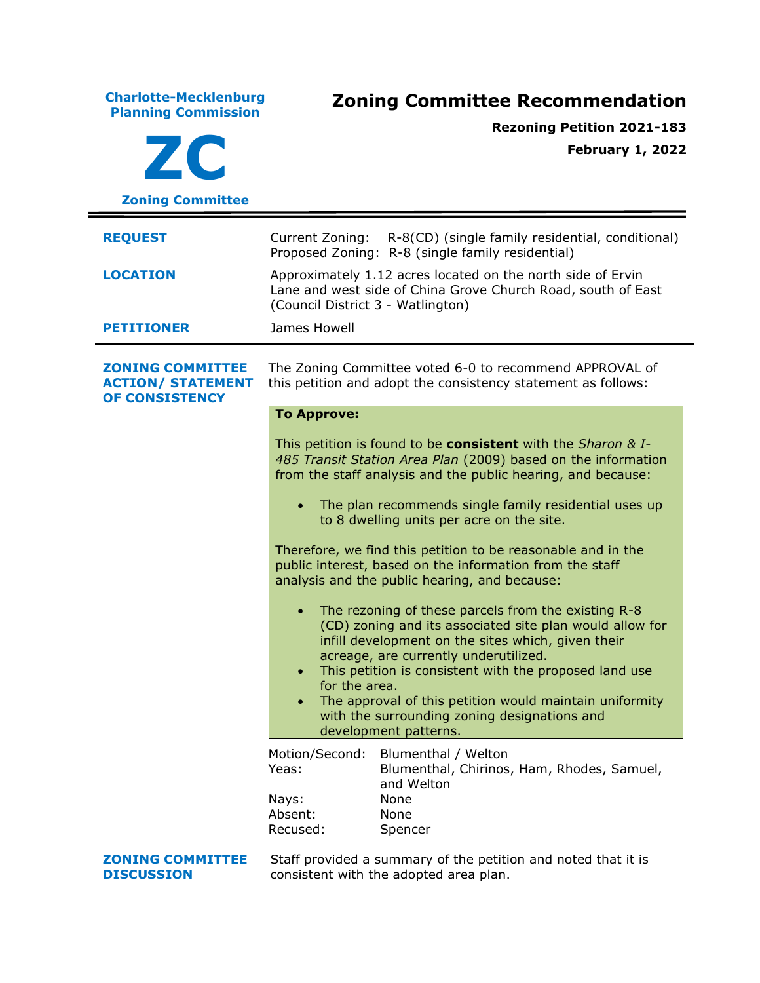**Charlotte-Mecklenburg Planning Commission Zoning Committee Recommendation ZC Zoning Committee Rezoning Petition 2021-183 February 1, 2022 REQUEST** Current Zoning: R-8(CD) (single family residential, conditional) Proposed Zoning: R-8 (single family residential) **LOCATION** Approximately 1.12 acres located on the north side of Ervin Lane and west side of China Grove Church Road, south of East (Council District 3 - Watlington) **PETITIONER** James Howell **ZONING COMMITTEE ACTION/ STATEMENT OF CONSISTENCY** The Zoning Committee voted 6-0 to recommend APPROVAL of this petition and adopt the consistency statement as follows: **To Approve:** This petition is found to be **consistent** with the *Sharon & I-485 Transit Station Area Plan* (2009) based on the information from the staff analysis and the public hearing, and because: • The plan recommends single family residential uses up to 8 dwelling units per acre on the site. Therefore, we find this petition to be reasonable and in the public interest, based on the information from the staff analysis and the public hearing, and because: • The rezoning of these parcels from the existing R-8 (CD) zoning and its associated site plan would allow for infill development on the sites which, given their acreage, are currently underutilized. • This petition is consistent with the proposed land use for the area. • The approval of this petition would maintain uniformity with the surrounding zoning designations and development patterns. Motion/Second: Blumenthal / Welton Yeas: Blumenthal, Chirinos, Ham, Rhodes, Samuel, and Welton Nays: None Absent: None Recused: Spencer **ZONING COMMITTEE DISCUSSION** Staff provided a summary of the petition and noted that it is consistent with the adopted area plan.